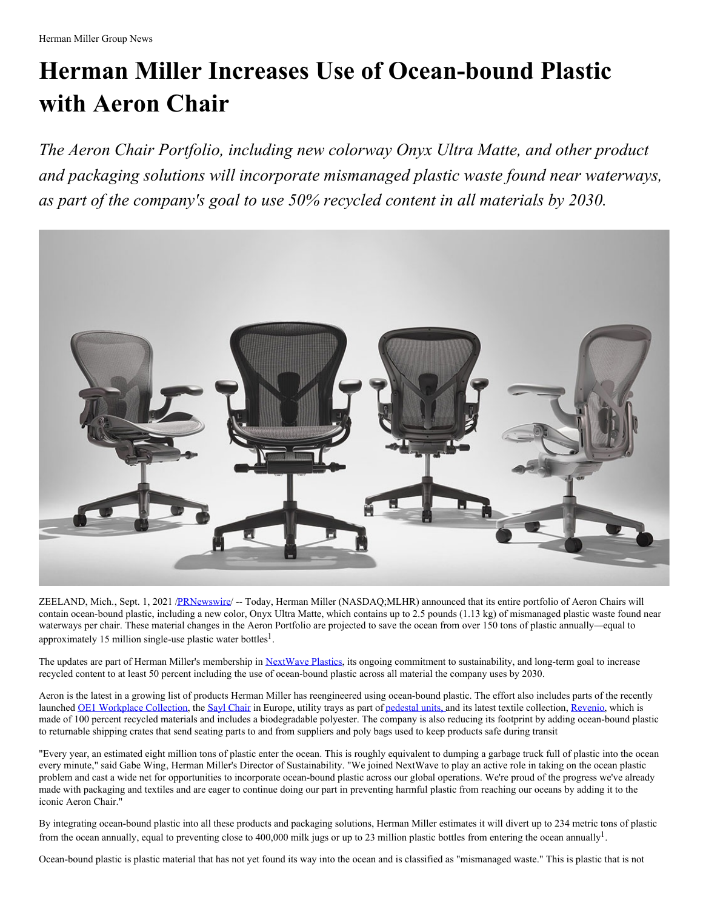# **Herman Miller Increases Use of Ocean-bound Plastic with Aeron Chair**

*The Aeron Chair Portfolio, including new colorway Onyx Ultra Matte, and other product and packaging solutions will incorporate mismanaged plastic waste found near waterways, as part of the company's goal to use 50% recycled content in all materials by 2030.*



ZEELAND, Mich., Sept. 1, 2021 [/PRNewswire](http://www.prnewswire.com/)/ -- Today, Herman Miller (NASDAQ;MLHR) announced that its entire portfolio of Aeron Chairs will contain ocean-bound plastic, including a new color, Onyx Ultra Matte, which contains up to 2.5 pounds (1.13 kg) of mismanaged plastic waste found near waterways per chair. These material changes in the Aeron Portfolio are projected to save the ocean from over 150 tons of plastic annually*—*equal to approximately 15 million single-use plastic water bottles<sup>1</sup>.

The updates are part of Herman Miller's membership in [NextWave](https://c212.net/c/link/?t=0&l=en&o=3276385-1&h=1307720753&u=https%3A%2F%2Fwww.nextwaveplastics.org%2F&a=NextWave+Plastics) Plastics, its ongoing commitment to sustainability, and long-term goal to increase recycled content to at least 50 percent including the use of ocean-bound plastic across all material the company uses by 2030.

Aeron is the latest in a growing list of products Herman Miller has reengineered using ocean-bound plastic. The effort also includes parts of the recently launched OE1 [Workplace](https://c212.net/c/link/?t=0&l=en&o=3276385-1&h=1406672121&u=https%3A%2F%2Fnews.hermanmiller.com%2F2021-04-16-Herman-Miller-Launches-Post-Pandemic-Office-Collection&a=OE1+Workplace+Collection) Collection, the Sayl [Chair](https://c212.net/c/link/?t=0&l=en&o=3276385-1&h=696533838&u=https%3A%2F%2Fwww.hermanmiller.com%2Fproducts%2Fseating%2Foffice-chairs%2Fsayl-chairs%2F&a=Sayl+Chair) in Europe, utility trays as part of [pedestal](https://c212.net/c/link/?t=0&l=en&o=3276385-1&h=1734381261&u=https%3A%2F%2Fwww.hermanmiller.com%2Fproducts%2Fstorage%2Ftu-storage%2F&a=pedestal+units%2C+) units, and its latest textile collection, [Revenio](https://c212.net/c/link/?t=0&l=en&o=3276385-1&h=775873465&u=https%3A%2F%2Fnews.hermanmiller.com%2F2021-03-02-Herman-Miller-Introduces-its-Most-Sustainable-Textile-Collection-Yet&a=Revenio), which is made of 100 percent recycled materials and includes a biodegradable polyester. The company is also reducing its footprint by adding ocean-bound plastic to returnable shipping crates that send seating parts to and from suppliers and poly bags used to keep products safe during transit

"Every year, an estimated eight million tons of plastic enter the ocean. This is roughly equivalent to dumping a garbage truck full of plastic into the ocean every minute," said Gabe Wing, Herman Miller's Director of Sustainability. "We joined NextWave to play an active role in taking on the ocean plastic problem and cast a wide net for opportunities to incorporate ocean-bound plastic across our global operations. We're proud of the progress we've already made with packaging and textiles and are eager to continue doing our part in preventing harmful plastic from reaching our oceans by adding it to the iconic Aeron Chair."

By integrating ocean-bound plastic into all these products and packaging solutions, Herman Miller estimates it will divert up to 234 metric tons of plastic from the ocean annually, equal to preventing close to 400,000 milk jugs or up to 23 million plastic bottles from entering the ocean annually<sup>1</sup>.

Ocean-bound plastic is plastic material that has not yet found its way into the ocean and is classified as "mismanaged waste." This is plastic that is not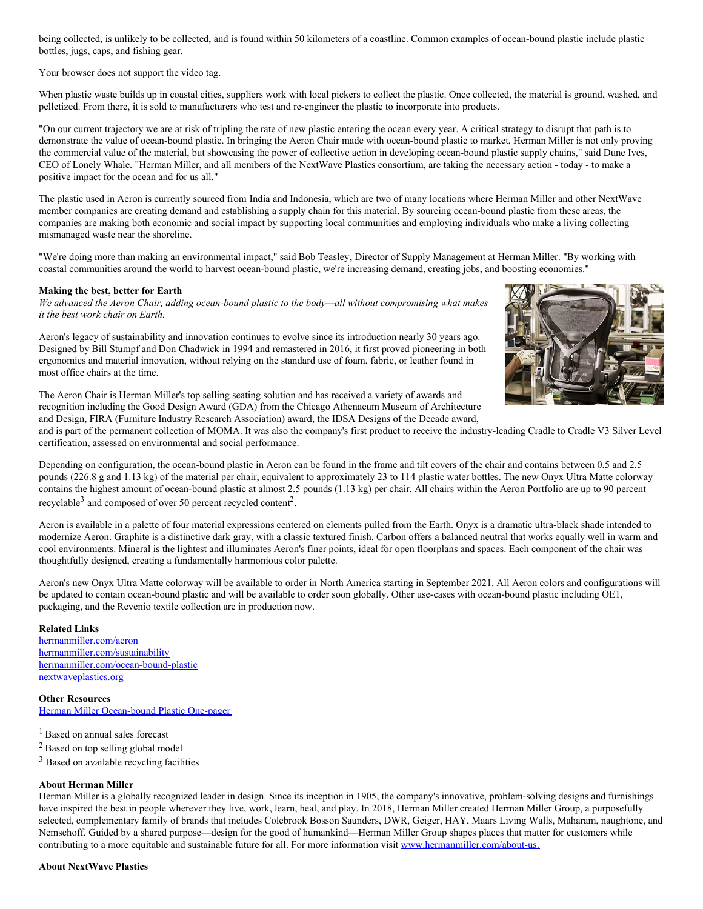being collected, is unlikely to be collected, and is found within 50 kilometers of a coastline. Common examples of ocean-bound plastic include plastic bottles, jugs, caps, and fishing gear.

Your browser does not support the video tag.

When plastic waste builds up in coastal cities, suppliers work with local pickers to collect the plastic. Once collected, the material is ground, washed, and pelletized. From there, it is sold to manufacturers who test and re-engineer the plastic to incorporate into products.

"On our current trajectory we are at risk of tripling the rate of new plastic entering the ocean every year. A critical strategy to disrupt that path is to demonstrate the value of ocean-bound plastic. In bringing the Aeron Chair made with ocean-bound plastic to market, Herman Miller is not only proving the commercial value of the material, but showcasing the power of collective action in developing ocean-bound plastic supply chains," said Dune Ives, CEO of Lonely Whale. "Herman Miller, and all members of the NextWave Plastics consortium, are taking the necessary action - today - to make a positive impact for the ocean and for us all."

The plastic used in Aeron is currently sourced from India and Indonesia, which are two of many locations where Herman Miller and other NextWave member companies are creating demand and establishing a supply chain for this material. By sourcing ocean-bound plastic from these areas, the companies are making both economic and social impact by supporting local communities and employing individuals who make a living collecting mismanaged waste near the shoreline.

"We're doing more than making an environmental impact," said Bob Teasley, Director of Supply Management at Herman Miller. "By working with coastal communities around the world to harvest ocean-bound plastic, we're increasing demand, creating jobs, and boosting economies."

# **Making the best, better for Earth**

*We advanced the Aeron Chair, adding ocean-bound plastic to the body—all without compromising what makes it the best work chair on Earth.*

Aeron's legacy of sustainability and innovation continues to evolve since its introduction nearly 30 years ago. Designed by Bill Stumpf and Don Chadwick in 1994 and remastered in 2016, it first proved pioneering in both ergonomics and material innovation, without relying on the standard use of foam, fabric, or leather found in most office chairs at the time.



The Aeron Chair is Herman Miller's top selling seating solution and has received a variety of awards and recognition including the Good Design Award (GDA) from the Chicago Athenaeum Museum of Architecture and Design, FIRA (Furniture Industry Research Association) award, the IDSA Designs of the Decade award,

and is part of the permanent collection of MOMA. It was also the company's first product to receive the industry-leading Cradle to Cradle V3 Silver Level certification, assessed on environmental and social performance.

Depending on configuration, the ocean-bound plastic in Aeron can be found in the frame and tilt covers of the chair and contains between 0.5 and 2.5 pounds (226.8 g and 1.13 kg) of the material per chair, equivalent to approximately 23 to 114 plastic water bottles. The new Onyx Ultra Matte colorway contains the highest amount of ocean-bound plastic at almost 2.5 pounds (1.13 kg) per chair. All chairs within the Aeron Portfolio are up to 90 percent recyclable<sup>3</sup> and composed of over 50 percent recycled content<sup>2</sup>.

Aeron is available in a palette of four material expressions centered on elements pulled from the Earth. Onyx is a dramatic ultra-black shade intended to modernize Aeron. Graphite is a distinctive dark gray, with a classic textured finish. Carbon offers a balanced neutral that works equally well in warm and cool environments. Mineral is the lightest and illuminates Aeron's finer points, ideal for open floorplans and spaces. Each component of the chair was thoughtfully designed, creating a fundamentally harmonious color palette.

Aeron's new Onyx Ultra Matte colorway will be available to order in North America starting in September 2021. All Aeron colors and configurations will be updated to contain ocean-bound plastic and will be available to order soon globally. Other use-cases with ocean-bound plastic including OE1, packaging, and the Revenio textile collection are in production now.

## **Related Links**

[hermanmiller.com/aeron](https://c212.net/c/link/?t=0&l=en&o=3276385-1&h=1262853155&u=https%3A%2F%2Fwww.hermanmiller.com%2Fproducts%2Fseating%2Foffice-chairs%2Faeron-chairs%2F&a=hermanmiller.com%2Faeron+) [hermanmiller.com/sustainability](https://c212.net/c/link/?t=0&l=en&o=3276385-1&h=4289857892&u=https%3A%2F%2Fwww.hermanmiller.com%2Fbetter-world%2Fsustainability%2F&a=hermanmiller.com%2Fsustainability) [hermanmiller.com/ocean-bound-plastic](https://c212.net/c/link/?t=0&l=en&o=3276385-1&h=4226603912&u=https%3A%2F%2Fwww.hermanmiller.com%2Fbetter-world%2Fsustainability%2Focean-bound-plastic%2F&a=hermanmiller.com%2Focean-bound-plastic) [nextwaveplastics.org](https://c212.net/c/link/?t=0&l=en&o=3276385-1&h=806068586&u=https%3A%2F%2Fwww.nextwaveplastics.org%2F&a=nextwaveplastics.org)

## **Other Resources**

Herman Miller [Ocean-bound](http://stage.mediaroom.com/hermanmillergroup/image/HM_OBP_one-pager.pdf) Plastic One-pager

- <sup>1</sup> Based on annual sales forecast
- <sup>2</sup> Based on top selling global model
- <sup>3</sup> Based on available recycling facilities

## **About Herman Miller**

Herman Miller is a globally recognized leader in design. Since its inception in 1905, the company's innovative, problem-solving designs and furnishings have inspired the best in people wherever they live, work, learn, heal, and play. In 2018, Herman Miller created Herman Miller Group, a purposefully selected, complementary family of brands that includes Colebrook Bosson Saunders, DWR, Geiger, HAY, Maars Living Walls, Maharam, naughtone, and Nemschoff. Guided by a shared purpose—design for the good of humankind—Herman Miller Group shapes places that matter for customers while contributing to a more equitable and sustainable future for all. For more information visit [www.hermanmiller.com/about-us.](https://c212.net/c/link/?t=0&l=en&o=3276385-1&h=1816492297&u=https%3A%2F%2Fc212.net%2Fc%2Flink%2F%3Ft%3D0%26l%3Den%26o%3D3211420-1%26h%3D3487413848%26u%3Dhttp%253A%252F%252Fwww.hermanmiller.com%252Fabout-us%26a%3Dwww.hermanmiller.com%252Fabout-us&a=www.hermanmiller.com%2Fabout-us.)